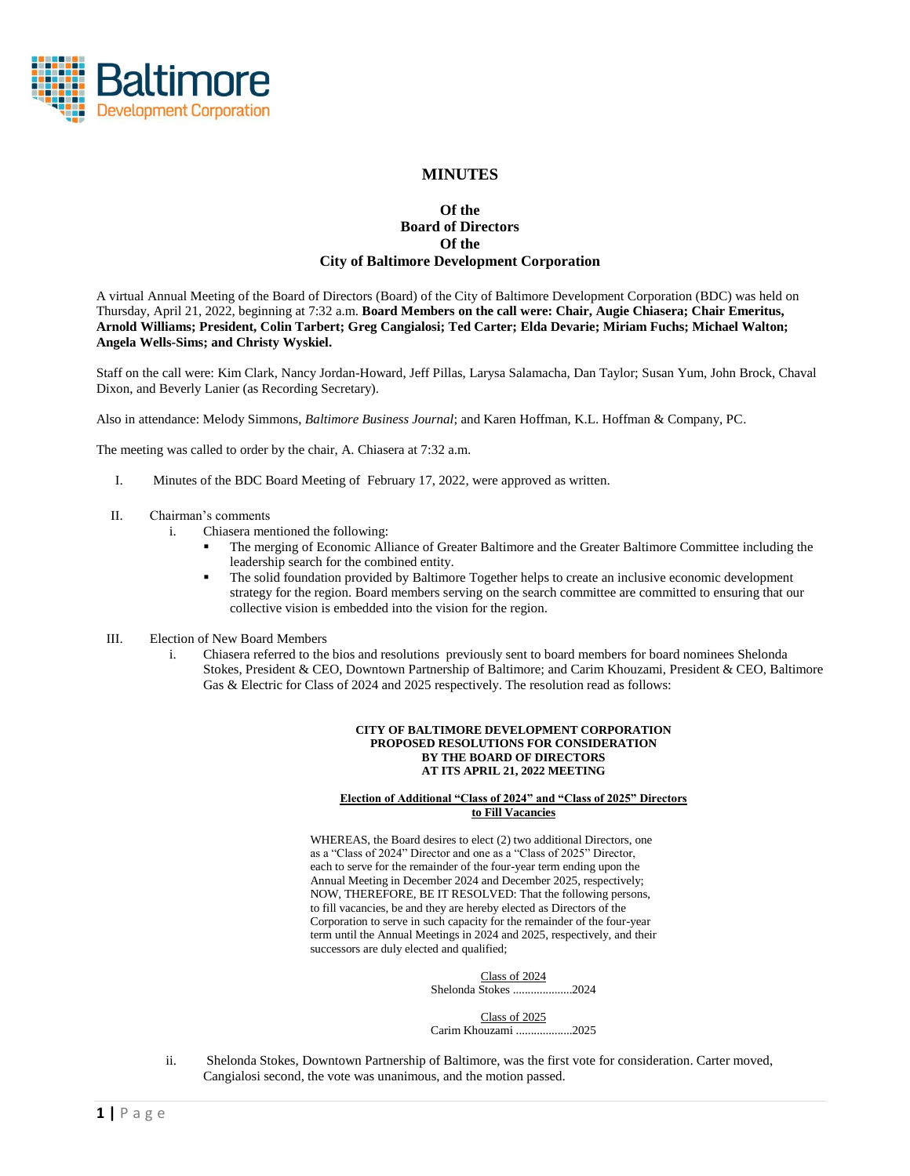

# **MINUTES**

# **Of the Board of Directors Of the City of Baltimore Development Corporation**

A virtual Annual Meeting of the Board of Directors (Board) of the City of Baltimore Development Corporation (BDC) was held on Thursday, April 21, 2022, beginning at 7:32 a.m. **Board Members on the call were: Chair, Augie Chiasera; Chair Emeritus, Arnold Williams; President, Colin Tarbert; Greg Cangialosi; Ted Carter; Elda Devarie; Miriam Fuchs; Michael Walton; Angela Wells-Sims; and Christy Wyskiel.**

Staff on the call were: Kim Clark, Nancy Jordan-Howard, Jeff Pillas, Larysa Salamacha, Dan Taylor; Susan Yum, John Brock, Chaval Dixon, and Beverly Lanier (as Recording Secretary).

Also in attendance: Melody Simmons, *Baltimore Business Journal*; and Karen Hoffman, K.L. Hoffman & Company, PC.

The meeting was called to order by the chair, A. Chiasera at 7:32 a.m.

- I. Minutes of the BDC Board Meeting of February 17, 2022, were approved as written.
- II. Chairman's comments
	- i. Chiasera mentioned the following:
		- The merging of Economic Alliance of Greater Baltimore and the Greater Baltimore Committee including the leadership search for the combined entity.
		- The solid foundation provided by Baltimore Together helps to create an inclusive economic development strategy for the region. Board members serving on the search committee are committed to ensuring that our collective vision is embedded into the vision for the region.
- III. Election of New Board Members
	- i. Chiasera referred to the bios and resolutions previously sent to board members for board nominees Shelonda Stokes, President & CEO, Downtown Partnership of Baltimore; and Carim Khouzami, President & CEO, Baltimore Gas & Electric for Class of 2024 and 2025 respectively. The resolution read as follows:

#### **CITY OF BALTIMORE DEVELOPMENT CORPORATION PROPOSED RESOLUTIONS FOR CONSIDERATION BY THE BOARD OF DIRECTORS AT ITS APRIL 21, 2022 MEETING**

#### **Election of Additional "Class of 2024" and "Class of 2025" Directors to Fill Vacancies**

WHEREAS, the Board desires to elect (2) two additional Directors, one as a "Class of 2024" Director and one as a "Class of 2025" Director, each to serve for the remainder of the four-year term ending upon the Annual Meeting in December 2024 and December 2025, respectively; NOW, THEREFORE, BE IT RESOLVED: That the following persons, to fill vacancies, be and they are hereby elected as Directors of the Corporation to serve in such capacity for the remainder of the four-year term until the Annual Meetings in 2024 and 2025, respectively, and their successors are duly elected and qualified;

| Class of 2024                          |  |
|----------------------------------------|--|
| Class of $2025$<br>Carim Khouzami 2025 |  |

ii. Shelonda Stokes, Downtown Partnership of Baltimore, was the first vote for consideration. Carter moved, Cangialosi second, the vote was unanimous, and the motion passed.